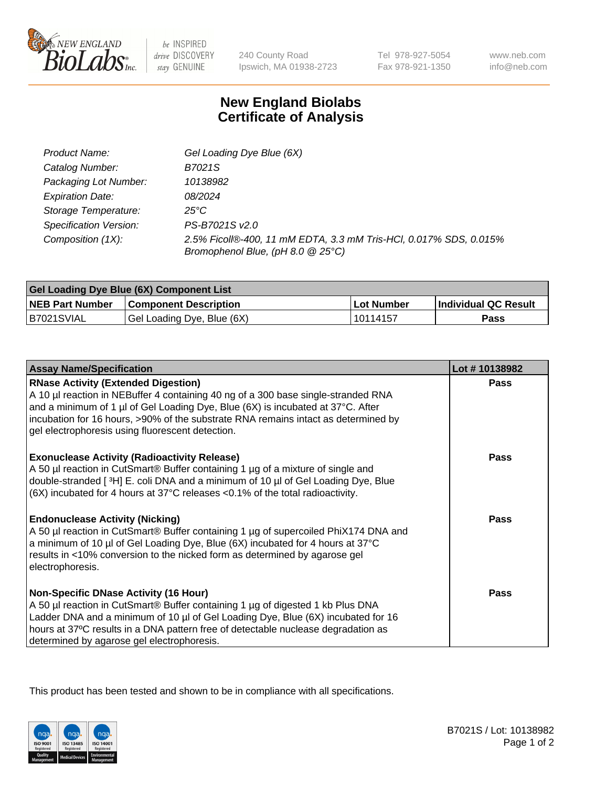

 $be$  INSPIRED drive DISCOVERY stay GENUINE

240 County Road Ipswich, MA 01938-2723 Tel 978-927-5054 Fax 978-921-1350

www.neb.com info@neb.com

## **New England Biolabs Certificate of Analysis**

| Product Name:                 | Gel Loading Dye Blue (6X)                                                                              |
|-------------------------------|--------------------------------------------------------------------------------------------------------|
| Catalog Number:               | B7021S                                                                                                 |
| Packaging Lot Number:         | 10138982                                                                                               |
| <b>Expiration Date:</b>       | 08/2024                                                                                                |
| Storage Temperature:          | $25^{\circ}$ C                                                                                         |
| <b>Specification Version:</b> | PS-B7021S v2.0                                                                                         |
| Composition (1X):             | 2.5% Ficoll®-400, 11 mM EDTA, 3.3 mM Tris-HCl, 0.017% SDS, 0.015%<br>Bromophenol Blue, (pH 8.0 @ 25°C) |

| Gel Loading Dye Blue (6X) Component List |                              |                   |                      |  |
|------------------------------------------|------------------------------|-------------------|----------------------|--|
| <b>NEB Part Number</b>                   | <b>Component Description</b> | <b>Lot Number</b> | Individual QC Result |  |
| B7021SVIAL                               | Gel Loading Dye, Blue (6X)   | l 10114157        | Pass                 |  |

| <b>Assay Name/Specification</b>                                                                                                                                                                                                                                                                                                                              | Lot #10138982 |
|--------------------------------------------------------------------------------------------------------------------------------------------------------------------------------------------------------------------------------------------------------------------------------------------------------------------------------------------------------------|---------------|
| <b>RNase Activity (Extended Digestion)</b><br>A 10 µl reaction in NEBuffer 4 containing 40 ng of a 300 base single-stranded RNA<br>and a minimum of 1 µl of Gel Loading Dye, Blue (6X) is incubated at 37°C. After<br>incubation for 16 hours, >90% of the substrate RNA remains intact as determined by<br>gel electrophoresis using fluorescent detection. | <b>Pass</b>   |
| <b>Exonuclease Activity (Radioactivity Release)</b><br>A 50 µl reaction in CutSmart® Buffer containing 1 µg of a mixture of single and<br>double-stranded [3H] E. coli DNA and a minimum of 10 µl of Gel Loading Dye, Blue<br>$(6X)$ incubated for 4 hours at 37 $^{\circ}$ C releases < 0.1% of the total radioactivity.                                    | <b>Pass</b>   |
| <b>Endonuclease Activity (Nicking)</b><br>A 50 µl reaction in CutSmart® Buffer containing 1 µg of supercoiled PhiX174 DNA and<br>a minimum of 10 µl of Gel Loading Dye, Blue (6X) incubated for 4 hours at 37°C<br>results in <10% conversion to the nicked form as determined by agarose gel<br>electrophoresis.                                            | <b>Pass</b>   |
| <b>Non-Specific DNase Activity (16 Hour)</b><br>A 50 µl reaction in CutSmart® Buffer containing 1 µg of digested 1 kb Plus DNA<br>Ladder DNA and a minimum of 10 µl of Gel Loading Dye, Blue (6X) incubated for 16<br>hours at 37°C results in a DNA pattern free of detectable nuclease degradation as<br>determined by agarose gel electrophoresis.        | <b>Pass</b>   |

This product has been tested and shown to be in compliance with all specifications.